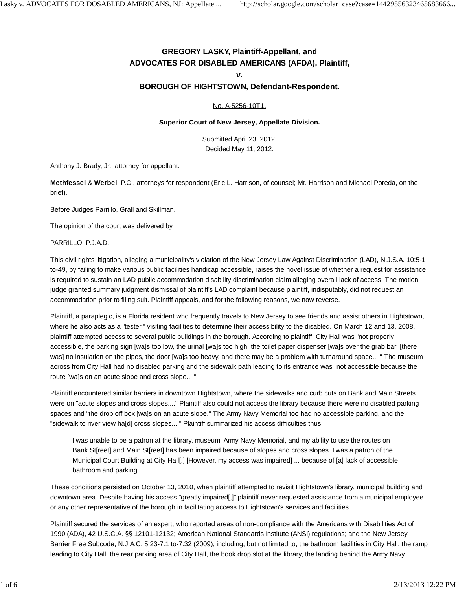# **GREGORY LASKY, Plaintiff-Appellant, and ADVOCATES FOR DISABLED AMERICANS (AFDA), Plaintiff,**

#### **v.**

## **BOROUGH OF HIGHTSTOWN, Defendant-Respondent.**

#### No. A-5256-10T1.

#### **Superior Court of New Jersey, Appellate Division.**

Submitted April 23, 2012. Decided May 11, 2012.

Anthony J. Brady, Jr., attorney for appellant.

**Methfessel** & **Werbel**, P.C., attorneys for respondent (Eric L. Harrison, of counsel; Mr. Harrison and Michael Poreda, on the brief).

Before Judges Parrillo, Grall and Skillman.

The opinion of the court was delivered by

PARRILLO, P.J.A.D.

This civil rights litigation, alleging a municipality's violation of the New Jersey Law Against Discrimination (LAD), N.J.S.A. 10:5-1 to-49, by failing to make various public facilities handicap accessible, raises the novel issue of whether a request for assistance is required to sustain an LAD public accommodation disability discrimination claim alleging overall lack of access. The motion judge granted summary judgment dismissal of plaintiff's LAD complaint because plaintiff, indisputably, did not request an accommodation prior to filing suit. Plaintiff appeals, and for the following reasons, we now reverse.

Plaintiff, a paraplegic, is a Florida resident who frequently travels to New Jersey to see friends and assist others in Hightstown, where he also acts as a "tester," visiting facilities to determine their accessibility to the disabled. On March 12 and 13, 2008, plaintiff attempted access to several public buildings in the borough. According to plaintiff, City Hall was "not properly accessible, the parking sign [wa]s too low, the urinal [wa]s too high, the toilet paper dispenser [wa]s over the grab bar, [there was] no insulation on the pipes, the door [wa]s too heavy, and there may be a problem with turnaround space...." The museum across from City Hall had no disabled parking and the sidewalk path leading to its entrance was "not accessible because the route [wa]s on an acute slope and cross slope...."

Plaintiff encountered similar barriers in downtown Hightstown, where the sidewalks and curb cuts on Bank and Main Streets were on "acute slopes and cross slopes...." Plaintiff also could not access the library because there were no disabled parking spaces and "the drop off box [wa]s on an acute slope." The Army Navy Memorial too had no accessible parking, and the "sidewalk to river view ha[d] cross slopes...." Plaintiff summarized his access difficulties thus:

I was unable to be a patron at the library, museum, Army Navy Memorial, and my ability to use the routes on Bank St[reet] and Main St[reet] has been impaired because of slopes and cross slopes. I was a patron of the Municipal Court Building at City Hall[.] [However, my access was impaired] ... because of [a] lack of accessible bathroom and parking.

These conditions persisted on October 13, 2010, when plaintiff attempted to revisit Hightstown's library, municipal building and downtown area. Despite having his access "greatly impaired[,]" plaintiff never requested assistance from a municipal employee or any other representative of the borough in facilitating access to Hightstown's services and facilities.

Plaintiff secured the services of an expert, who reported areas of non-compliance with the Americans with Disabilities Act of 1990 (ADA), 42 U.S.C.A. §§ 12101-12132; American National Standards Institute (ANSI) regulations; and the New Jersey Barrier Free Subcode, N.J.A.C. 5:23-7.1 to-7.32 (2009), including, but not limited to, the bathroom facilities in City Hall, the ramp leading to City Hall, the rear parking area of City Hall, the book drop slot at the library, the landing behind the Army Navy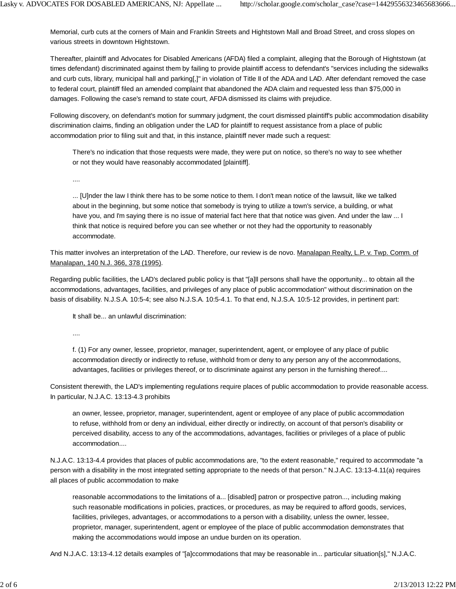Memorial, curb cuts at the corners of Main and Franklin Streets and Hightstown Mall and Broad Street, and cross slopes on various streets in downtown Hightstown.

Thereafter, plaintiff and Advocates for Disabled Americans (AFDA) filed a complaint, alleging that the Borough of Hightstown (at times defendant) discriminated against them by failing to provide plaintiff access to defendant's "services including the sidewalks and curb cuts, library, municipal hall and parking[,]" in violation of Title II of the ADA and LAD. After defendant removed the case to federal court, plaintiff filed an amended complaint that abandoned the ADA claim and requested less than \$75,000 in damages. Following the case's remand to state court, AFDA dismissed its claims with prejudice.

Following discovery, on defendant's motion for summary judgment, the court dismissed plaintiff's public accommodation disability discrimination claims, finding an obligation under the LAD for plaintiff to request assistance from a place of public accommodation prior to filing suit and that, in this instance, plaintiff never made such a request:

There's no indication that those requests were made, they were put on notice, so there's no way to see whether or not they would have reasonably accommodated [plaintiff].

....

... [U]nder the law I think there has to be some notice to them. I don't mean notice of the lawsuit, like we talked about in the beginning, but some notice that somebody is trying to utilize a town's service, a building, or what have you, and I'm saying there is no issue of material fact here that that notice was given. And under the law ... I think that notice is required before you can see whether or not they had the opportunity to reasonably accommodate.

This matter involves an interpretation of the LAD. Therefore, our review is de novo. Manalapan Realty, L.P. v. Twp. Comm. of Manalapan, 140 N.J. 366, 378 (1995).

Regarding public facilities, the LAD's declared public policy is that "[a]ll persons shall have the opportunity... to obtain all the accommodations, advantages, facilities, and privileges of any place of public accommodation" without discrimination on the basis of disability. N.J.S.A. 10:5-4; see also N.J.S.A. 10:5-4.1. To that end, N.J.S.A. 10:5-12 provides, in pertinent part:

It shall be... an unlawful discrimination:

....

f. (1) For any owner, lessee, proprietor, manager, superintendent, agent, or employee of any place of public accommodation directly or indirectly to refuse, withhold from or deny to any person any of the accommodations, advantages, facilities or privileges thereof, or to discriminate against any person in the furnishing thereof....

Consistent therewith, the LAD's implementing regulations require places of public accommodation to provide reasonable access. In particular, N.J.A.C. 13:13-4.3 prohibits

an owner, lessee, proprietor, manager, superintendent, agent or employee of any place of public accommodation to refuse, withhold from or deny an individual, either directly or indirectly, on account of that person's disability or perceived disability, access to any of the accommodations, advantages, facilities or privileges of a place of public accommodation....

N.J.A.C. 13:13-4.4 provides that places of public accommodations are, "to the extent reasonable," required to accommodate "a person with a disability in the most integrated setting appropriate to the needs of that person." N.J.A.C. 13:13-4.11(a) requires all places of public accommodation to make

reasonable accommodations to the limitations of a... [disabled] patron or prospective patron..., including making such reasonable modifications in policies, practices, or procedures, as may be required to afford goods, services, facilities, privileges, advantages, or accommodations to a person with a disability, unless the owner, lessee, proprietor, manager, superintendent, agent or employee of the place of public accommodation demonstrates that making the accommodations would impose an undue burden on its operation.

And N.J.A.C. 13:13-4.12 details examples of "[a]ccommodations that may be reasonable in... particular situation[s]," N.J.A.C.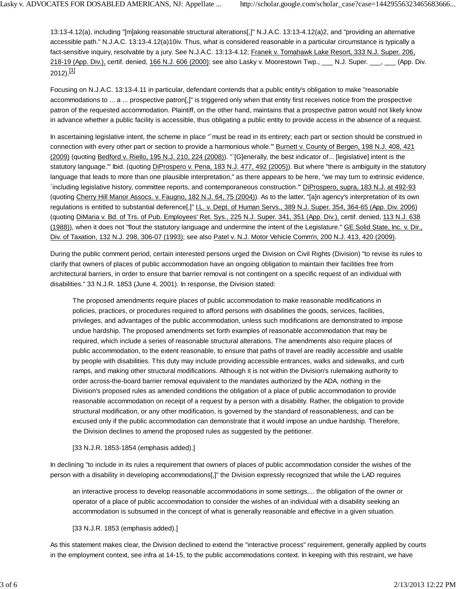13:13-4.12(a), including "[m]aking reasonable structural alterations[,]" N.J.A.C. 13:13-4.12(a)2, and "providing an alternative accessible path." N.J.A.C. 13:13-4.12(a)10iv. Thus, what is considered reasonable in a particular circumstance is typically a fact-sensitive inquiry, resolvable by a jury. See N.J.A.C. 13:13-4.12; Franek v. Tomahawk Lake Resort, 333 N.J. Super. 206, 218-19 (App. Div.), certif. denied, 166 N.J. 606 (2000); see also Lasky v. Moorestown Twp., \_\_\_ N.J. Super. \_\_\_, \_\_\_ (App. Div.  $2012$ ).<sup>[1]</sup>

Focusing on N.J.A.C. 13:13-4.11 in particular, defendant contends that a public entity's obligation to make "reasonable accommodations to ... a ... prospective patron[,]" is triggered only when that entity first receives notice from the prospective patron of the requested accommodation. Plaintiff, on the other hand, maintains that a prospective patron would not likely know in advance whether a public facility is accessible, thus obligating a public entity to provide access in the absence of a request.

In ascertaining legislative intent, the scheme in place "`must be read in its entirety; each part or section should be construed in connection with every other part or section to provide a harmonious whole.'" Burnett v. County of Bergen, 198 N.J. 408, 421 (2009) (quoting Bedford v. Riello, 195 N.J. 210, 224 (2008)). "`[G]enerally, the best indicator of... [legislative] intent is the statutory language.'" Ibid. (quoting DiProspero v. Pena, 183 N.J. 477, 492 (2005)). But where "there is ambiguity in the statutory language that leads to more than one plausible interpretation," as there appears to be here, "we may turn to extrinsic evidence, `including legislative history, committee reports, and contemporaneous construction.'" DiProspero, supra, 183 N.J. at 492-93 (quoting Cherry Hill Manor Assocs. v. Faugno, 182 N.J. 64, 75 (2004)). As to the latter, "[a]n agency's interpretation of its own regulations is entitled to substantial deference[,]" I.L. v. Dept. of Human Servs., 389 N.J. Super. 354, 364-65 (App. Div. 2006) (quoting DiMaria v. Bd. of Trs. of Pub. Employees' Ret. Sys., 225 N.J. Super. 341, 351 (App. Div.), certif. denied, 113 N.J. 638 (1988)), when it does not "flout the statutory language and undermine the intent of the Legislature." GE Solid State, Inc. v. Dir., Div. of Taxation, 132 N.J. 298, 306-07 (1993); see also Patel v. N.J. Motor Vehicle Comm'n, 200 N.J. 413, 420 (2009).

During the public comment period, certain interested persons urged the Division on Civil Rights (Division) "to revise its rules to clarify that owners of places of public accommodation have an ongoing obligation to maintain their facilities free from architectural barriers, in order to ensure that barrier removal is not contingent on a specific request of an individual with disabilities." 33 N.J.R. 1853 (June 4, 2001). In response, the Division stated:

The proposed amendments require places of public accommodation to make reasonable modifications in policies, practices, or procedures required to afford persons with disabilities the goods, services, facilities, privileges, and advantages of the public accommodation, unless such modifications are demonstrated to impose undue hardship. The proposed amendments set forth examples of reasonable accommodation that may be required, which include a series of reasonable structural alterations. The amendments also require places of public accommodation, to the extent reasonable, to ensure that paths of travel are readily accessible and usable by people with disabilities. This duty may include providing accessible entrances, walks and sidewalks, and curb ramps, and making other structural modifications. Although it is not within the Division's rulemaking authority to order across-the-board barrier removal equivalent to the mandates authorized by the ADA, nothing in the Division's proposed rules as amended conditions the obligation of a place of public accommodation to provide reasonable accommodation on receipt of a request by a person with a disability. Rather, the obligation to provide structural modification, or any other modification, is governed by the standard of reasonableness, and can be excused only if the public accommodation can demonstrate that it would impose an undue hardship. Therefore, the Division declines to amend the proposed rules as suggested by the petitioner.

### [33 N.J.R. 1853-1854 (emphasis added).]

In declining "to include in its rules a requirement that owners of places of public accommodation consider the wishes of the person with a disability in developing accommodations[,]" the Division expressly recognized that while the LAD requires

an interactive process to develop reasonable accommodations in some settings,... the obligation of the owner or operator of a place of public accommodation to consider the wishes of an individual with a disability seeking an accommodation is subsumed in the concept of what is generally reasonable and effective in a given situation.

## [33 N.J.R. 1853 (emphasis added).]

As this statement makes clear, the Division declined to extend the "interactive process" requirement, generally applied by courts in the employment context, see infra at 14-15, to the public accommodations context. In keeping with this restraint, we have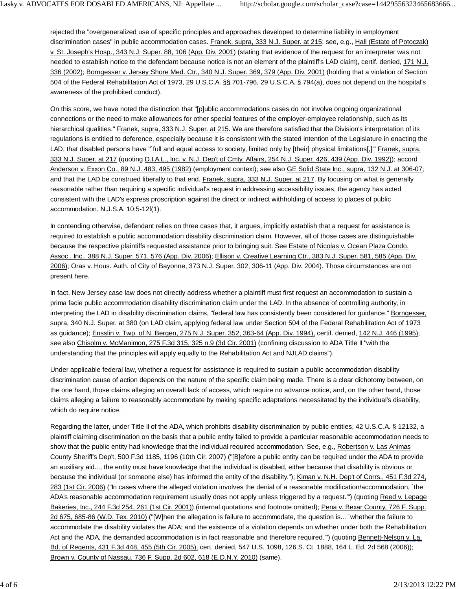rejected the "overgeneralized use of specific principles and approaches developed to determine liability in employment discrimination cases" in public accommodation cases. Franek, supra, 333 N.J. Super. at 215; see, e.g., Hall (Estate of Potoczak) v. St. Joseph's Hosp., 343 N.J. Super. 88, 106 (App. Div. 2001) (stating that evidence of the request for an interpreter was not needed to establish notice to the defendant because notice is not an element of the plaintiff's LAD claim), certif. denied, 171 N.J. 336 (2002); Borngesser v. Jersey Shore Med. Ctr., 340 N.J. Super. 369, 379 (App. Div. 2001) (holding that a violation of Section 504 of the Federal Rehabilitation Act of 1973, 29 U.S.C.A. §§ 701-796, 29 U.S.C.A. § 794(a), does not depend on the hospital's awareness of the prohibited conduct).

On this score, we have noted the distinction that "[p]ublic accommodations cases do not involve ongoing organizational connections or the need to make allowances for other special features of the employer-employee relationship, such as its hierarchical qualities." Franek, supra, 333 N.J. Super. at 215. We are therefore satisfied that the Division's interpretation of its regulations is entitled to deference, especially because it is consistent with the stated intention of the Legislature in enacting the LAD, that disabled persons have "`full and equal access to society, limited only by [their] physical limitations[,]'" Franek, supra, 333 N.J. Super. at 217 (quoting D.I.A.L., Inc. v. N.J. Dep't of Cmty. Affairs, 254 N.J. Super. 426, 439 (App. Div. 1992)); accord Anderson v. Exxon Co., 89 N.J. 483, 495 (1982) (employment context); see also GE Solid State Inc., supra, 132 N.J. at 306-07; and that the LAD be construed liberally to that end. Franek, supra, 333 N.J. Super. at 217. By focusing on what is generally reasonable rather than requiring a specific individual's request in addressing accessibility issues, the agency has acted consistent with the LAD's express proscription against the direct or indirect withholding of access to places of public accommodation. N.J.S.A. 10:5-12f(1).

In contending otherwise, defendant relies on three cases that, it argues, implicitly establish that a request for assistance is required to establish a public accommodation disability discrimination claim. However, all of those cases are distinguishable because the respective plaintiffs requested assistance prior to bringing suit. See Estate of Nicolas v. Ocean Plaza Condo. Assoc., Inc., 388 N.J. Super. 571, 576 (App. Div. 2006); Ellison v. Creative Learning Ctr., 383 N.J. Super. 581, 585 (App. Div. 2006); Oras v. Hous. Auth. of City of Bayonne, 373 N.J. Super. 302, 306-11 (App. Div. 2004). Those circumstances are not present here.

In fact, New Jersey case law does not directly address whether a plaintiff must first request an accommodation to sustain a prima facie public accommodation disability discrimination claim under the LAD. In the absence of controlling authority, in interpreting the LAD in disability discrimination claims, "federal law has consistently been considered for guidance." Borngesser, supra, 340 N.J. Super. at 380 (on LAD claim, applying federal law under Section 504 of the Federal Rehabilitation Act of 1973 as guidance); Ensslin v. Twp. of N. Bergen, 275 N.J. Super. 352, 363-64 (App. Div. 1994), certif. denied, 142 N.J. 446 (1995); see also Chisolm v. McManimon, 275 F.3d 315, 325 n.9 (3d Cir. 2001) (confining discussion to ADA Title II "with the understanding that the principles will apply equally to the Rehabilitation Act and NJLAD claims").

Under applicable federal law, whether a request for assistance is required to sustain a public accommodation disability discrimination cause of action depends on the nature of the specific claim being made. There is a clear dichotomy between, on the one hand, those claims alleging an overall lack of access, which require no advance notice, and, on the other hand, those claims alleging a failure to reasonably accommodate by making specific adaptations necessitated by the individual's disability, which do require notice.

Regarding the latter, under Title II of the ADA, which prohibits disability discrimination by public entities, 42 U.S.C.A. § 12132, a plaintiff claiming discrimination on the basis that a public entity failed to provide a particular reasonable accommodation needs to show that the public entity had knowledge that the individual required accommodation. See, e.g., Robertson v. Las Animas County Sheriff's Dep't, 500 F.3d 1185, 1196 (10th Cir. 2007) ("[B]efore a public entity can be required under the ADA to provide an auxiliary aid..., the entity must have knowledge that the individual is disabled, either because that disability is obvious or because the individual (or someone else) has informed the entity of the disability."); Kiman v. N.H. Dep't of Corrs., 451 F.3d 274, 283 (1st Cir. 2006) ("In cases where the alleged violation involves the denial of a reasonable modification/accommodation, `the ADA's reasonable accommodation requirement usually does not apply unless triggered by a request.'") (quoting Reed v. Lepage Bakeries, Inc., 244 F.3d 254, 261 (1st Cir. 2001)) (internal quotations and footnote omitted); Pena v. Bexar County, 726 F. Supp. 2d 675, 685-86 (W.D. Tex. 2010) ("[W]hen the allegation is failure to accommodate, the question is... `whether the failure to accommodate the disability violates the ADA; and the existence of a violation depends on whether under both the Rehabilitation Act and the ADA, the demanded accommodation is in fact reasonable and therefore required.'") (quoting Bennett-Nelson v. La. Bd. of Regents, 431 F.3d 448, 455 (5th Cir. 2005), cert. denied, 547 U.S. 1098, 126 S. Ct. 1888, 164 L. Ed. 2d 568 (2006)); Brown v. County of Nassau, 736 F. Supp. 2d 602, 618 (E.D.N.Y. 2010) (same).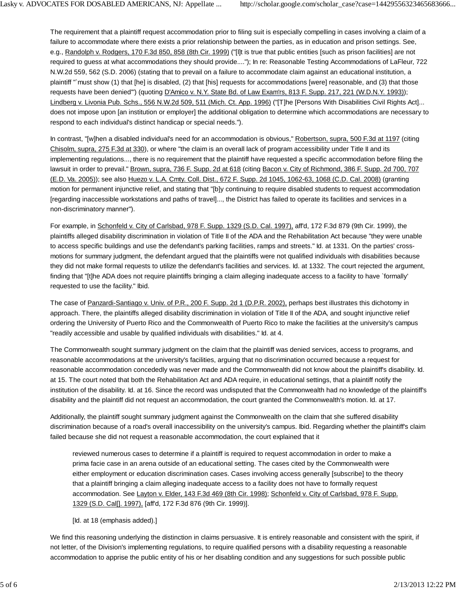The requirement that a plaintiff request accommodation prior to filing suit is especially compelling in cases involving a claim of a failure to accommodate where there exists a prior relationship between the parties, as in education and prison settings. See, e.g., Randolph v. Rodgers, 170 F.3d 850, 858 (8th Cir. 1999) ("[I]t is true that public entities [such as prison facilities] are not required to guess at what accommodations they should provide...."); In re: Reasonable Testing Accommodations of LaFleur, 722 N.W.2d 559, 562 (S.D. 2006) (stating that to prevail on a failure to accommodate claim against an educational institution, a plaintiff "`must show (1) that [he] is disabled, (2) that [his] requests for accommodations [were] reasonable, and (3) that those requests have been denied'") (quoting D'Amico v. N.Y. State Bd. of Law Exam'rs, 813 F. Supp. 217, 221 (W.D.N.Y. 1993)); Lindberg v. Livonia Pub. Schs., 556 N.W.2d 509, 511 (Mich. Ct. App. 1996) ("[T]he [Persons With Disabilities Civil Rights Act]... does not impose upon [an institution or employer] the additional obligation to determine which accommodations are necessary to respond to each individual's distinct handicap or special needs.").

In contrast, "[w]hen a disabled individual's need for an accommodation is obvious," Robertson, supra, 500 F.3d at 1197 (citing Chisolm, supra, 275 F.3d at 330), or where "the claim is an overall lack of program accessibility under Title II and its implementing regulations..., there is no requirement that the plaintiff have requested a specific accommodation before filing the lawsuit in order to prevail." Brown, supra, 736 F. Supp. 2d at 618 (citing Bacon v. City of Richmond, 386 F. Supp. 2d 700, 707 (E.D. Va. 2005)); see also Huezo v. L.A. Cmty. Coll. Dist., 672 F. Supp. 2d 1045, 1062-63, 1068 (C.D. Cal. 2008) (granting motion for permanent injunctive relief, and stating that "[b]y continuing to require disabled students to request accommodation [regarding inaccessible workstations and paths of travel]..., the District has failed to operate its facilities and services in a non-discriminatory manner").

For example, in Schonfeld v. City of Carlsbad, 978 F. Supp. 1329 (S.D. Cal. 1997), aff'd, 172 F.3d 879 (9th Cir. 1999), the plaintiffs alleged disability discrimination in violation of Title II of the ADA and the Rehabilitation Act because "they were unable to access specific buildings and use the defendant's parking facilities, ramps and streets." Id. at 1331. On the parties' crossmotions for summary judgment, the defendant argued that the plaintiffs were not qualified individuals with disabilities because they did not make formal requests to utilize the defendant's facilities and services. Id. at 1332. The court rejected the argument, finding that "[t]he ADA does not require plaintiffs bringing a claim alleging inadequate access to a facility to have `formally' requested to use the facility." Ibid.

The case of Panzardi-Santiago v. Univ. of P.R., 200 F. Supp. 2d 1 (D.P.R. 2002), perhaps best illustrates this dichotomy in approach. There, the plaintiffs alleged disability discrimination in violation of Title II of the ADA, and sought injunctive relief ordering the University of Puerto Rico and the Commonwealth of Puerto Rico to make the facilities at the university's campus "readily accessible and usable by qualified individuals with disabilities." Id. at 4.

The Commonwealth sought summary judgment on the claim that the plaintiff was denied services, access to programs, and reasonable accommodations at the university's facilities, arguing that no discrimination occurred because a request for reasonable accommodation concededly was never made and the Commonwealth did not know about the plaintiff's disability. Id. at 15. The court noted that both the Rehabilitation Act and ADA require, in educational settings, that a plaintiff notify the institution of the disability. Id. at 16. Since the record was undisputed that the Commonwealth had no knowledge of the plaintiff's disability and the plaintiff did not request an accommodation, the court granted the Commonwealth's motion. Id. at 17.

Additionally, the plaintiff sought summary judgment against the Commonwealth on the claim that she suffered disability discrimination because of a road's overall inaccessibility on the university's campus. Ibid. Regarding whether the plaintiff's claim failed because she did not request a reasonable accommodation, the court explained that it

reviewed numerous cases to determine if a plaintiff is required to request accommodation in order to make a prima facie case in an arena outside of an educational setting. The cases cited by the Commonwealth were either employment or education discrimination cases. Cases involving access generally [subscribe] to the theory that a plaintiff bringing a claim alleging inadequate access to a facility does not have to formally request accommodation. See Layton v. Elder, 143 F.3d 469 (8th Cir. 1998); Schonfeld v. City of Carlsbad, 978 F. Supp. 1329 (S.D. Cal[]. 1997), [aff'd, 172 F.3d 876 (9th Cir. 1999)].

### [Id. at 18 (emphasis added).]

We find this reasoning underlying the distinction in claims persuasive. It is entirely reasonable and consistent with the spirit, if not letter, of the Division's implementing regulations, to require qualified persons with a disability requesting a reasonable accommodation to apprise the public entity of his or her disabling condition and any suggestions for such possible public